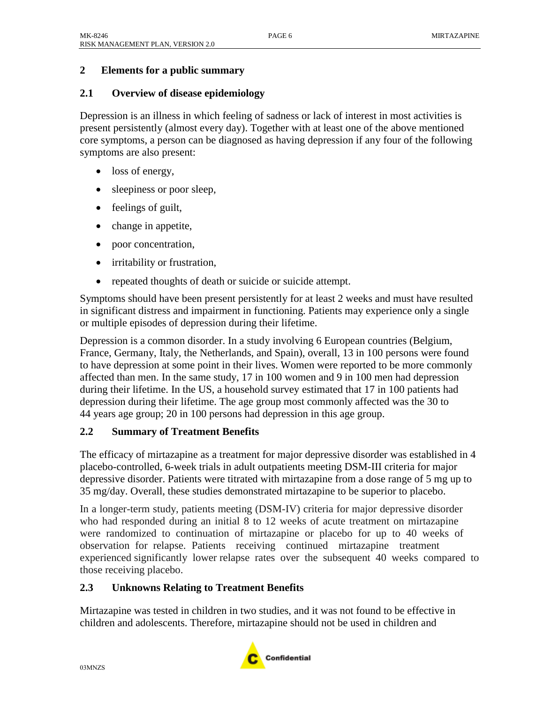## **2 Elements for a public summary**

## **2.1 Overview of disease epidemiology**

Depression is an illness in which feeling of sadness or lack of interest in most activities is present persistently (almost every day). Together with at least one of the above mentioned core symptoms, a person can be diagnosed as having depression if any four of the following symptoms are also present:

- loss of energy,
- sleepiness or poor sleep,
- feelings of guilt,
- change in appetite,
- poor concentration,
- irritability or frustration,
- repeated thoughts of death or suicide or suicide attempt.

Symptoms should have been present persistently for at least 2 weeks and must have resulted in significant distress and impairment in functioning. Patients may experience only a single or multiple episodes of depression during their lifetime.

Depression is a common disorder. In a study involving 6 European countries (Belgium, France, Germany, Italy, the Netherlands, and Spain), overall, 13 in 100 persons were found to have depression at some point in their lives. Women were reported to be more commonly affected than men. In the same study, 17 in 100 women and 9 in 100 men had depression during their lifetime. In the US, a household survey estimated that 17 in 100 patients had depression during their lifetime. The age group most commonly affected was the 30 to 44 years age group; 20 in 100 persons had depression in this age group.

## **2.2 Summary of Treatment Benefits**

The efficacy of mirtazapine as a treatment for major depressive disorder was established in 4 placebo-controlled, 6-week trials in adult outpatients meeting DSM-III criteria for major depressive disorder. Patients were titrated with mirtazapine from a dose range of 5 mg up to 35 mg/day. Overall, these studies demonstrated mirtazapine to be superior to placebo.

In a longer-term study, patients meeting (DSM-IV) criteria for major depressive disorder who had responded during an initial 8 to 12 weeks of acute treatment on mirtazapine were randomized to continuation of mirtazapine or placebo for up to 40 weeks of observation for relapse. Patients receiving continued mirtazapine treatment experienced significantly lower relapse rates over the subsequent 40 weeks compared to those receiving placebo.

## **2.3 Unknowns Relating to Treatment Benefits**

Mirtazapine was tested in children in two studies, and it was not found to be effective in children and adolescents. Therefore, mirtazapine should not be used in children and

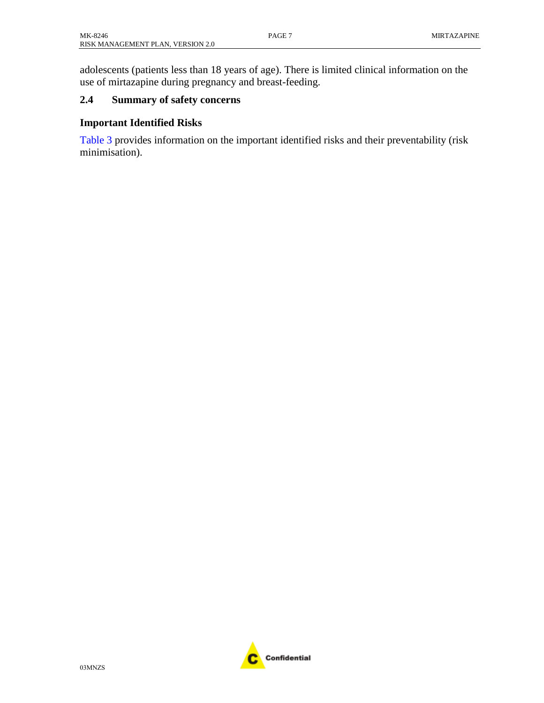adolescents (patients less than 18 years of age). There is limited clinical information on the use of mirtazapine during pregnancy and breast-feeding.

### **2.4 Summary of safety concerns**

#### **Important Identified Risks**

[Table](#page-2-0) 3 provides information on the important identified risks and their preventability (risk minimisation).

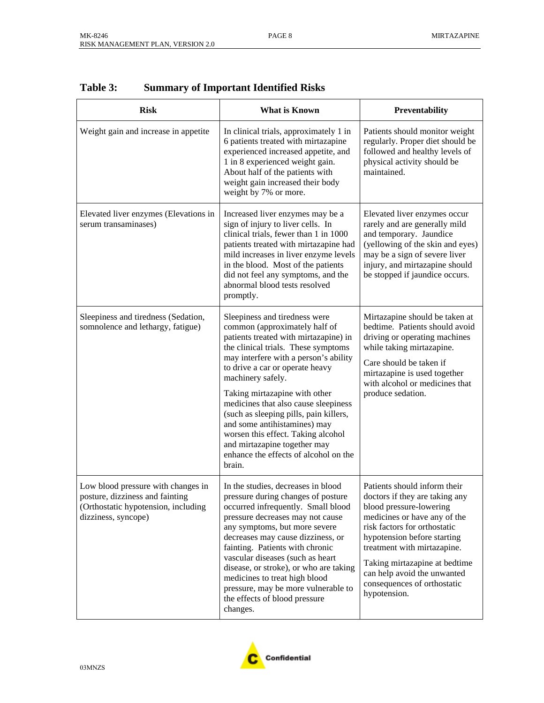| <b>Risk</b>                                                                                                                         | <b>What is Known</b>                                                                                                                                                                                                                                                                                                                                                                                                                                                                                                        | Preventability                                                                                                                                                                                                                                                                                                                         |
|-------------------------------------------------------------------------------------------------------------------------------------|-----------------------------------------------------------------------------------------------------------------------------------------------------------------------------------------------------------------------------------------------------------------------------------------------------------------------------------------------------------------------------------------------------------------------------------------------------------------------------------------------------------------------------|----------------------------------------------------------------------------------------------------------------------------------------------------------------------------------------------------------------------------------------------------------------------------------------------------------------------------------------|
| Weight gain and increase in appetite                                                                                                | In clinical trials, approximately 1 in<br>6 patients treated with mirtazapine<br>experienced increased appetite, and<br>1 in 8 experienced weight gain.<br>About half of the patients with<br>weight gain increased their body<br>weight by 7% or more.                                                                                                                                                                                                                                                                     | Patients should monitor weight<br>regularly. Proper diet should be<br>followed and healthy levels of<br>physical activity should be<br>maintained.                                                                                                                                                                                     |
| Elevated liver enzymes (Elevations in<br>serum transaminases)                                                                       | Increased liver enzymes may be a<br>sign of injury to liver cells. In<br>clinical trials, fewer than 1 in 1000<br>patients treated with mirtazapine had<br>mild increases in liver enzyme levels<br>in the blood. Most of the patients<br>did not feel any symptoms, and the<br>abnormal blood tests resolved<br>promptly.                                                                                                                                                                                                  | Elevated liver enzymes occur<br>rarely and are generally mild<br>and temporary. Jaundice<br>(yellowing of the skin and eyes)<br>may be a sign of severe liver<br>injury, and mirtazapine should<br>be stopped if jaundice occurs.                                                                                                      |
| Sleepiness and tiredness (Sedation,<br>somnolence and lethargy, fatigue)                                                            | Sleepiness and tiredness were<br>common (approximately half of<br>patients treated with mirtazapine) in<br>the clinical trials. These symptoms<br>may interfere with a person's ability<br>to drive a car or operate heavy<br>machinery safely.<br>Taking mirtazapine with other<br>medicines that also cause sleepiness<br>(such as sleeping pills, pain killers,<br>and some antihistamines) may<br>worsen this effect. Taking alcohol<br>and mirtazapine together may<br>enhance the effects of alcohol on the<br>brain. | Mirtazapine should be taken at<br>bedtime. Patients should avoid<br>driving or operating machines<br>while taking mirtazapine.<br>Care should be taken if<br>mirtazapine is used together<br>with alcohol or medicines that<br>produce sedation.                                                                                       |
| Low blood pressure with changes in<br>posture, dizziness and fainting<br>(Orthostatic hypotension, including<br>dizziness, syncope) | In the studies, decreases in blood<br>pressure during changes of posture<br>occurred infrequently. Small blood<br>pressure decreases may not cause<br>any symptoms, but more severe<br>decreases may cause dizziness, or<br>fainting. Patients with chronic<br>vascular diseases (such as heart<br>disease, or stroke), or who are taking<br>medicines to treat high blood<br>pressure, may be more vulnerable to<br>the effects of blood pressure<br>changes.                                                              | Patients should inform their<br>doctors if they are taking any<br>blood pressure-lowering<br>medicines or have any of the<br>risk factors for orthostatic<br>hypotension before starting<br>treatment with mirtazapine.<br>Taking mirtazapine at bedtime<br>can help avoid the unwanted<br>consequences of orthostatic<br>hypotension. |

## <span id="page-2-0"></span>**Table 3: Summary of Important Identified Risks**

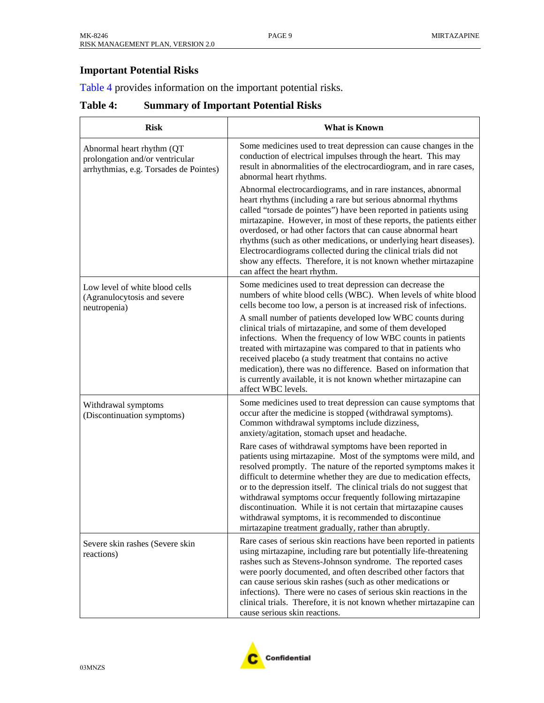# <span id="page-3-0"></span>**Important Potential Risks**

[Table](#page-3-0) 4 provides information on the important potential risks.

## **Table 4: Summary of Important Potential Risks**

| <b>Risk</b>                                                                                            | <b>What is Known</b>                                                                                                                                                                                                                                                                                                                                                                                                                                                                                                                                                                             |  |
|--------------------------------------------------------------------------------------------------------|--------------------------------------------------------------------------------------------------------------------------------------------------------------------------------------------------------------------------------------------------------------------------------------------------------------------------------------------------------------------------------------------------------------------------------------------------------------------------------------------------------------------------------------------------------------------------------------------------|--|
| Abnormal heart rhythm (QT<br>prolongation and/or ventricular<br>arrhythmias, e.g. Torsades de Pointes) | Some medicines used to treat depression can cause changes in the<br>conduction of electrical impulses through the heart. This may<br>result in abnormalities of the electrocardiogram, and in rare cases,<br>abnormal heart rhythms.                                                                                                                                                                                                                                                                                                                                                             |  |
|                                                                                                        | Abnormal electrocardiograms, and in rare instances, abnormal<br>heart rhythms (including a rare but serious abnormal rhythms<br>called "torsade de pointes") have been reported in patients using<br>mirtazapine. However, in most of these reports, the patients either<br>overdosed, or had other factors that can cause abnormal heart<br>rhythms (such as other medications, or underlying heart diseases).<br>Electrocardiograms collected during the clinical trials did not<br>show any effects. Therefore, it is not known whether mirtazapine<br>can affect the heart rhythm.           |  |
| Low level of white blood cells<br>(Agranulocytosis and severe<br>neutropenia)                          | Some medicines used to treat depression can decrease the<br>numbers of white blood cells (WBC). When levels of white blood<br>cells become too low, a person is at increased risk of infections.                                                                                                                                                                                                                                                                                                                                                                                                 |  |
|                                                                                                        | A small number of patients developed low WBC counts during<br>clinical trials of mirtazapine, and some of them developed<br>infections. When the frequency of low WBC counts in patients<br>treated with mirtazapine was compared to that in patients who<br>received placebo (a study treatment that contains no active<br>medication), there was no difference. Based on information that<br>is currently available, it is not known whether mirtazapine can<br>affect WBC levels.                                                                                                             |  |
| Withdrawal symptoms<br>(Discontinuation symptoms)                                                      | Some medicines used to treat depression can cause symptoms that<br>occur after the medicine is stopped (withdrawal symptoms).<br>Common withdrawal symptoms include dizziness,<br>anxiety/agitation, stomach upset and headache.                                                                                                                                                                                                                                                                                                                                                                 |  |
|                                                                                                        | Rare cases of withdrawal symptoms have been reported in<br>patients using mirtazapine. Most of the symptoms were mild, and<br>resolved promptly. The nature of the reported symptoms makes it<br>difficult to determine whether they are due to medication effects,<br>or to the depression itself. The clinical trials do not suggest that<br>withdrawal symptoms occur frequently following mirtazapine<br>discontinuation. While it is not certain that mirtazapine causes<br>withdrawal symptoms, it is recommended to discontinue<br>mirtazapine treatment gradually, rather than abruptly. |  |
| Severe skin rashes (Severe skin<br>reactions)                                                          | Rare cases of serious skin reactions have been reported in patients<br>using mirtazapine, including rare but potentially life-threatening<br>rashes such as Stevens-Johnson syndrome. The reported cases<br>were poorly documented, and often described other factors that<br>can cause serious skin rashes (such as other medications or<br>infections). There were no cases of serious skin reactions in the<br>clinical trials. Therefore, it is not known whether mirtazapine can<br>cause serious skin reactions.                                                                           |  |

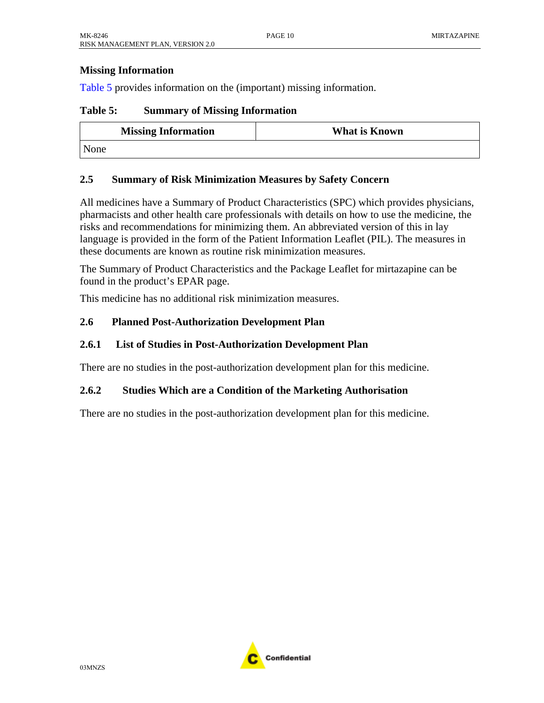### <span id="page-4-0"></span>**Missing Information**

[Table](#page-4-0) 5 provides information on the (important) missing information.

#### **Table 5: Summary of Missing Information**

| <b>Missing Information</b> | <b>What is Known</b> |
|----------------------------|----------------------|
| None                       |                      |

#### **2.5 Summary of Risk Minimization Measures by Safety Concern**

All medicines have a Summary of Product Characteristics (SPC) which provides physicians, pharmacists and other health care professionals with details on how to use the medicine, the risks and recommendations for minimizing them. An abbreviated version of this in lay language is provided in the form of the Patient Information Leaflet (PIL). The measures in these documents are known as routine risk minimization measures.

The Summary of Product Characteristics and the Package Leaflet for mirtazapine can be found in the product's EPAR page.

This medicine has no additional risk minimization measures.

#### **2.6 Planned Post-Authorization Development Plan**

#### **2.6.1 List of Studies in Post-Authorization Development Plan**

There are no studies in the post-authorization development plan for this medicine.

#### **2.6.2 Studies Which are a Condition of the Marketing Authorisation**

There are no studies in the post-authorization development plan for this medicine.